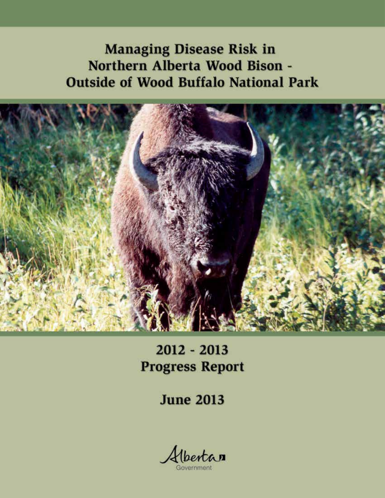**Managing Disease Risk in** Northern Alberta Wood Bison -**Outside of Wood Buffalo National Park** 



 $2012 - 2013$ **Progress Report** 

**June 2013** 

Albertan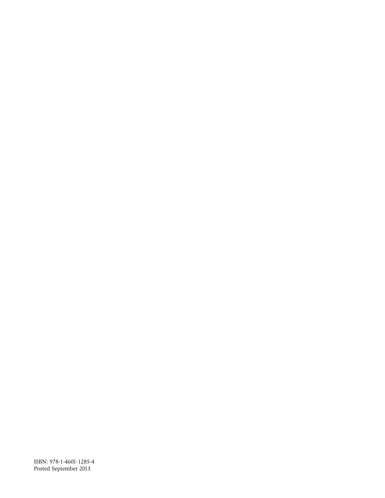ISBN: 978-1-4601-1285-4 Posted September 2013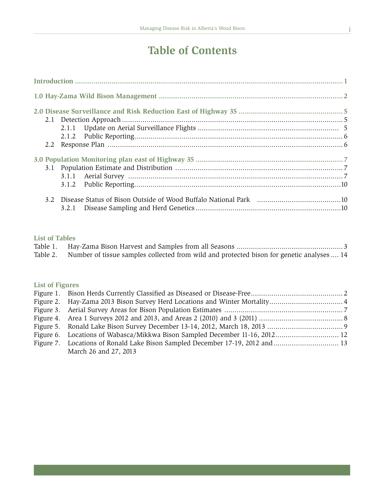# **Table of Contents**

| 3.1.2 |  |  |  |  |
|-------|--|--|--|--|
|       |  |  |  |  |
|       |  |  |  |  |

### **List of Tables**

| Table 1. |                                                                                                    |  |
|----------|----------------------------------------------------------------------------------------------------|--|
|          | Table 2. Number of tissue samples collected from wild and protected bison for genetic analyses  14 |  |

# **List of Figures**

|  | March 26 and 27, 2013 |  |  |
|--|-----------------------|--|--|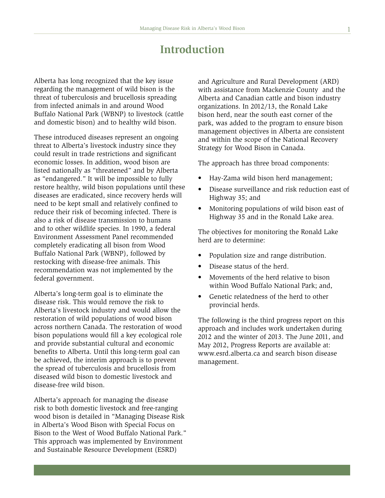# **Introduction**

Alberta has long recognized that the key issue regarding the management of wild bison is the threat of tuberculosis and brucellosis spreading from infected animals in and around Wood Buffalo National Park (WBNP) to livestock (cattle and domestic bison) and to healthy wild bison.

These introduced diseases represent an ongoing threat to Alberta's livestock industry since they could result in trade restrictions and significant economic losses. In addition, wood bison are listed nationally as "threatened" and by Alberta as "endangered." It will be impossible to fully restore healthy, wild bison populations until these diseases are eradicated, since recovery herds will need to be kept small and relatively confined to reduce their risk of becoming infected. There is also a risk of disease transmission to humans and to other wildlife species. In 1990, a federal Environment Assessment Panel recommended completely eradicating all bison from Wood Buffalo National Park (WBNP), followed by restocking with disease-free animals. This recommendation was not implemented by the federal government.

Alberta's long-term goal is to eliminate the disease risk. This would remove the risk to Alberta's livestock industry and would allow the restoration of wild populations of wood bison across northern Canada. The restoration of wood bison populations would fill a key ecological role and provide substantial cultural and economic benefits to Alberta. Until this long-term goal can be achieved, the interim approach is to prevent the spread of tuberculosis and brucellosis from diseased wild bison to domestic livestock and disease-free wild bison.

Alberta's approach for managing the disease risk to both domestic livestock and free-ranging wood bison is detailed in "Managing Disease Risk in Alberta's Wood Bison with Special Focus on Bison to the West of Wood Buffalo National Park." This approach was implemented by Environment and Sustainable Resource Development (ESRD)

and Agriculture and Rural Development (ARD) with assistance from Mackenzie County and the Alberta and Canadian cattle and bison industry organizations. In 2012/13, the Ronald Lake bison herd, near the south east corner of the park, was added to the program to ensure bison management objectives in Alberta are consistent and within the scope of the National Recovery Strategy for Wood Bison in Canada.

The approach has three broad components:

- Hay-Zama wild bison herd management;
- Disease surveillance and risk reduction east of Highway 35; and
- Monitoring populations of wild bison east of Highway 35 and in the Ronald Lake area.

The objectives for monitoring the Ronald Lake herd are to determine:

- Population size and range distribution.
- Disease status of the herd.
- Movements of the herd relative to bison within Wood Buffalo National Park; and,
- Genetic relatedness of the herd to other provincial herds.

The following is the third progress report on this approach and includes work undertaken during 2012 and the winter of 2013. The June 2011, and May 2012, Progress Reports are available at: www.esrd.alberta.ca and search bison disease management.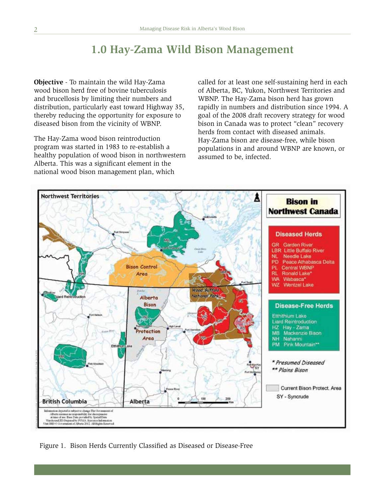# **1.0 Hay-Zama Wild Bison Management**

**Objective** - To maintain the wild Hay-Zama wood bison herd free of bovine tuberculosis and brucellosis by limiting their numbers and distribution, particularly east toward Highway 35, thereby reducing the opportunity for exposure to diseased bison from the vicinity of WBNP.

The Hay-Zama wood bison reintroduction program was started in 1983 to re-establish a healthy population of wood bison in northwestern Alberta. This was a significant element in the national wood bison management plan, which

called for at least one self-sustaining herd in each of Alberta, BC, Yukon, Northwest Territories and WBNP. The Hay-Zama bison herd has grown rapidly in numbers and distribution since 1994. A goal of the 2008 draft recovery strategy for wood bison in Canada was to protect "clean" recovery herds from contact with diseased animals. Hay-Zama bison are disease-free, while bison populations in and around WBNP are known, or assumed to be, infected.



Figure 1. Bison Herds Currently Classified as Diseased or Disease-Free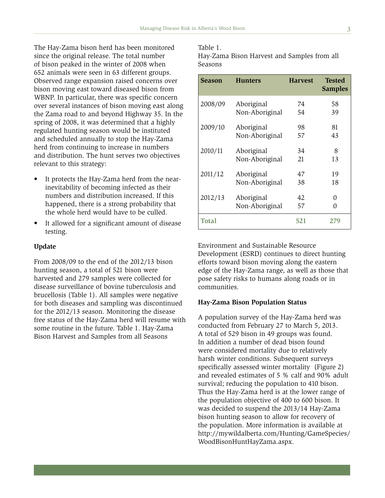The Hay-Zama bison herd has been monitored since the original release. The total number of bison peaked in the winter of 2008 when 652 animals were seen in 63 different groups. Observed range expansion raised concerns over bison moving east toward diseased bison from WBNP. In particular, there was specific concern over several instances of bison moving east along the Zama road to and beyond Highway 35. In the spring of 2008, it was determined that a highly regulated hunting season would be instituted and scheduled annually to stop the Hay-Zama herd from continuing to increase in numbers and distribution. The hunt serves two objectives relevant to this strategy:

- It protects the Hay-Zama herd from the nearinevitability of becoming infected as their numbers and distribution increased. If this happened, there is a strong probability that the whole herd would have to be culled.
- It allowed for a significant amount of disease testing.

#### **Update**

From 2008/09 to the end of the 2012/13 bison hunting season, a total of 521 bison were harvested and 279 samples were collected for disease surveillance of bovine tuberculosis and brucellosis (Table 1). All samples were negative for both diseases and sampling was discontinued for the 2012/13 season. Monitoring the disease free status of the Hay-Zama herd will resume with some routine in the future. Table 1. Hay-Zama Bison Harvest and Samples from all Seasons

#### Table 1.

Hay-Zama Bison Harvest and Samples from all Seasons

| <b>Season</b> | <b>Hunters</b> | <b>Harvest</b> | Tested<br><b>Samples</b> |
|---------------|----------------|----------------|--------------------------|
| 2008/09       | Aboriginal     | 74             | 58                       |
|               | Non-Aboriginal | 54             | 39                       |
| 2009/10       | Aboriginal     | 98             | 81                       |
|               | Non-Aboriginal | 57             | 43                       |
| 2010/11       | Aboriginal     | 34             | 8                        |
|               | Non-Aboriginal | 21             | 13                       |
| 2011/12       | Aboriginal     | 47             | 19                       |
|               | Non-Aboriginal | 38             | 18                       |
| 2012/13       | Aboriginal     | 42             | 0                        |
|               | Non-Aboriginal | 57             | 0                        |
| <b>Total</b>  |                | 521            | 279                      |

Environment and Sustainable Resource Development (ESRD) continues to direct hunting efforts toward bison moving along the eastern edge of the Hay-Zama range, as well as those that pose safety risks to humans along roads or in communities.

#### **Hay-Zama Bison Population Status**

A population survey of the Hay-Zama herd was conducted from February 27 to March 5, 2013. A total of 529 bison in 49 groups was found. In addition a number of dead bison found were considered mortality due to relatively harsh winter conditions. Subsequent surveys specifically assessed winter mortality (Figure 2) and revealed estimates of 5 % calf and 90% adult survival; reducing the population to 410 bison. Thus the Hay-Zama herd is at the lower range of the population objective of 400 to 600 bison. It was decided to suspend the 2013/14 Hay-Zama bison hunting season to allow for recovery of the population. More information is available at http://mywildalberta.com/Hunting/GameSpecies/ WoodBisonHuntHayZama.aspx.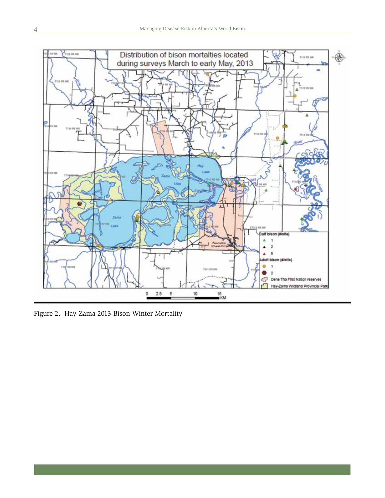

Figure 2. Hay-Zama 2013 Bison Winter Mortality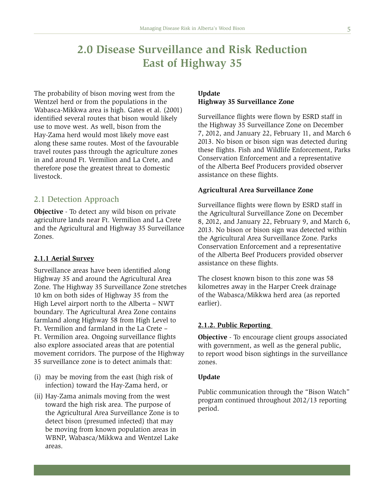# **2.0 Disease Surveillance and Risk Reduction East of Highway 35**

The probability of bison moving west from the Wentzel herd or from the populations in the Wabasca-Mikkwa area is high. Gates et al. (2001) identified several routes that bison would likely use to move west. As well, bison from the Hay-Zama herd would most likely move east along these same routes. Most of the favourable travel routes pass through the agriculture zones in and around Ft. Vermilion and La Crete, and therefore pose the greatest threat to domestic livestock.

### 2.1 Detection Approach

**Objective** - To detect any wild bison on private agriculture lands near Ft. Vermilion and La Crete and the Agricultural and Highway 35 Surveillance Zones.

#### **2.1.1 Aerial Survey**

Surveillance areas have been identified along Highway 35 and around the Agricultural Area Zone. The Highway 35 Surveillance Zone stretches 10 km on both sides of Highway 35 from the High Level airport north to the Alberta – NWT boundary. The Agricultural Area Zone contains farmland along Highway 58 from High Level to Ft. Vermilion and farmland in the La Crete – Ft. Vermilion area. Ongoing surveillance flights also explore associated areas that are potential movement corridors. The purpose of the Highway 35 surveillance zone is to detect animals that:

- (i) may be moving from the east (high risk of infection) toward the Hay-Zama herd, or
- (ii) Hay-Zama animals moving from the west toward the high risk area. The purpose of the Agricultural Area Surveillance Zone is to detect bison (presumed infected) that may be moving from known population areas in WBNP, Wabasca/Mikkwa and Wentzel Lake areas.

## **Update Highway 35 Surveillance Zone**

Surveillance flights were flown by ESRD staff in the Highway 35 Surveillance Zone on December 7, 2012, and January 22, February 11, and March 6 2013. No bison or bison sign was detected during these flights. Fish and Wildlife Enforcement, Parks Conservation Enforcement and a representative of the Alberta Beef Producers provided observer assistance on these flights.

#### **Agricultural Area Surveillance Zone**

Surveillance flights were flown by ESRD staff in the Agricultural Surveillance Zone on December 8, 2012, and January 22, February 9, and March 6, 2013. No bison or bison sign was detected within the Agricultural Area Surveillance Zone. Parks Conservation Enforcement and a representative of the Alberta Beef Producers provided observer assistance on these flights.

The closest known bison to this zone was 58 kilometres away in the Harper Creek drainage of the Wabasca/Mikkwa herd area (as reported earlier).

#### **2.1.2. Public Reporting**

**Objective** - To encourage client groups associated with government, as well as the general public, to report wood bison sightings in the surveillance zones.

#### **Update**

Public communication through the "Bison Watch" program continued throughout 2012/13 reporting period.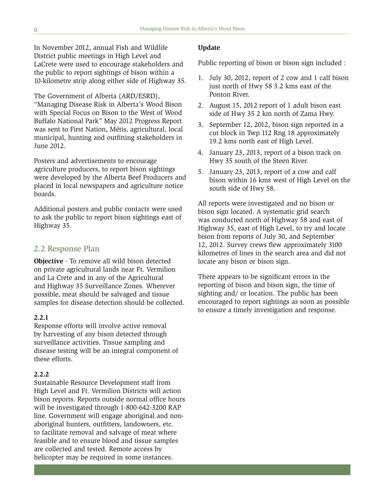In November 2012, annual Fish and Wildlife District public meetings in High Level and LaCrete were used to encourage stakeholders and the public to report sightings of bison within a 10-kilometre strip along either side of Highway 35.

The Government of Alberta (ARD/ESRD),

"Managing Disease Risk in Alberta's Wood Bison with Special Focus on Bison to the West of Wood Buffalo National Park" May 2012 Progress Report was sent to First Nation, Métis, agricultural, local municipal, hunting and outfitting stakeholders in June 2012.

Posters and advertisements to encourage agriculture producers, to report bison sightings were developed by the Alberta Beef Producers and placed in local newspapers and agriculture notice boards.

Additional posters and public contacts were used to ask the public to report bison sightings east of Highway 35.

## 2.2 Response Plan

**Objective** - To remove all wild bison detected on private agricultural lands near Ft. Vermilion and La Crete and in any of the Agricultural and Highway 35 Surveillance Zones. Wherever possible, meat should be salvaged and tissue samples for disease detection should be collected.

### **2.2.1**

Response efforts will involve active removal by harvesting of any bison detected through surveillance activities. Tissue sampling and disease testing will be an integral component of these efforts.

#### **2.2.2**

Sustainable Resource Development staff from High Level and Ft. Vermilion Districts will action bison reports. Reports outside normal office hours will be investigated through 1-800-642-3200 RAP line. Government will engage aboriginal and nonaboriginal hunters, outfitters, landowners, etc. to facilitate removal and salvage of meat where feasible and to ensure blood and tissue samples are collected and tested. Remote access by helicopter may be required in some instances.

#### **Update**

Public reporting of bison or bison sign included :

- 1. July 30, 2012, report of 2 cow and 1 calf bison just north of Hwy 58 3.2 kms east of the Ponton River.
- 2. August 15, 2012 report of 1 adult bison east side of Hwy 35 2 km north of Zama Hwy.
- 3. September 12, 2012, bison sign reported in a cut block in Twp 112 Rng 18 approximately 19.2 kms north east of High Level.
- 4. January 23, 2013, report of a bison track on Hwy 35 south of the Steen River.
- 5. January 23, 2013, report of a cow and calf bison within 16 kms west of High Level on the south side of Hwy 58.

All reports were investigated and no bison or bison sign located. A systematic grid search was conducted north of Highway 58 and east of Highway 35, east of High Level, to try and locate bison from reports of July 30, and September 12, 2012. Survey crews flew approximately 3100 kilometres of lines in the search area and did not locate any bison or bison sign.

There appears to be significant errors in the reporting of bison and bison sign, the time of sighting and/ or location. The public has been encouraged to report sightings as soon as possible to ensure a timely investigation and response.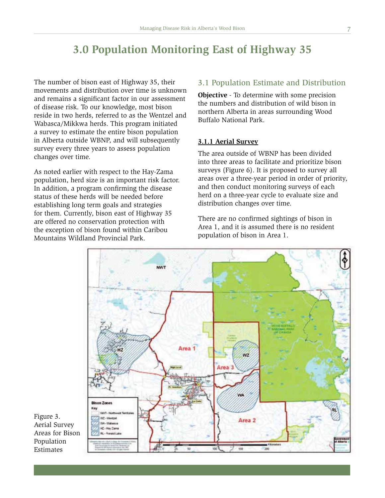# **3.0 Population Monitoring East of Highway 35**

The number of bison east of Highway 35, their movements and distribution over time is unknown and remains a significant factor in our assessment of disease risk. To our knowledge, most bison reside in two herds, referred to as the Wentzel and Wabasca/Mikkwa herds. This program initiated a survey to estimate the entire bison population in Alberta outside WBNP, and will subsequently survey every three years to assess population changes over time.

As noted earlier with respect to the Hay-Zama population, herd size is an important risk factor. In addition, a program confirming the disease status of these herds will be needed before establishing long term goals and strategies for them. Currently, bison east of Highway 35 are offered no conservation protection with the exception of bison found within Caribou Mountains Wildland Provincial Park.

# 3.1 Population Estimate and Distribution

**Objective** - To determine with some precision the numbers and distribution of wild bison in northern Alberta in areas surrounding Wood Buffalo National Park.

### **3.1.1 Aerial Survey**

The area outside of WBNP has been divided into three areas to facilitate and prioritize bison surveys (Figure 6). It is proposed to survey all areas over a three-year period in order of priority, and then conduct monitoring surveys of each herd on a three-year cycle to evaluate size and distribution changes over time.

There are no confirmed sightings of bison in Area 1, and it is assumed there is no resident population of bison in Area 1.



Figure 3. Aerial Survey Areas for Bison Population Estimates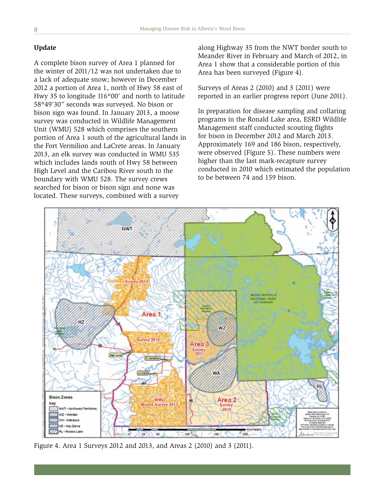#### **Update**

A complete bison survey of Area 1 planned for the winter of 2011/12 was not undertaken due to a lack of adequate snow; however in December 2012 a portion of Area 1, north of Hwy 58 east of Hwy 35 to longitude 116º00' and north to latitude 58º49'30" seconds was surveyed. No bison or bison sign was found. In January 2013, a moose survey was conducted in Wildlife Management Unit (WMU) 528 which comprises the southern portion of Area 1 south of the agricultural lands in the Fort Vermilion and LaCrete areas. In January 2013, an elk survey was conducted in WMU 535 which includes lands south of Hwy 58 between High Level and the Caribou River south to the boundary with WMU 528. The survey crews searched for bison or bison sign and none was located. These surveys, combined with a survey

along Highway 35 from the NWT border south to Meander River in February and March of 2012, in Area 1 show that a considerable portion of this Area has been surveyed (Figure 4).

Surveys of Areas 2 (2010) and 3 (2011) were reported in an earlier progress report (June 2011).

In preparation for disease sampling and collaring programs in the Ronald Lake area, ESRD Wildlife Management staff conducted scouting flights for bison in December 2012 and March 2013. Approximately 169 and 186 bison, respectively, were observed (Figure 5). These numbers were higher than the last mark-recapture survey conducted in 2010 which estimated the population to be between 74 and 159 bison.



Figure 4. Area 1 Surveys 2012 and 2013, and Areas 2 (2010) and 3 (2011).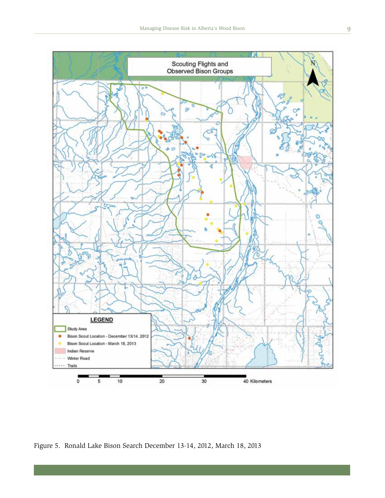

Figure 5. Ronald Lake Bison Search December 13-14, 2012, March 18, 2013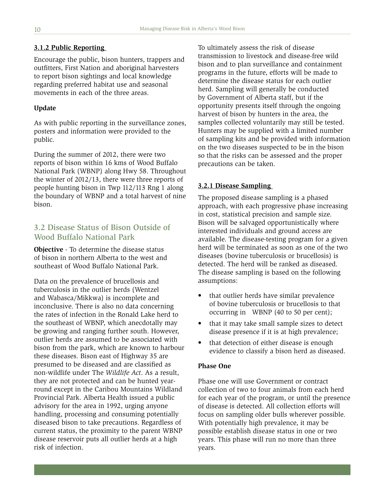#### **3.1.2 Public Reporting**

Encourage the public, bison hunters, trappers and outfitters, First Nation and aboriginal harvesters to report bison sightings and local knowledge regarding preferred habitat use and seasonal movements in each of the three areas.

#### **Update**

As with public reporting in the surveillance zones, posters and information were provided to the public.

During the summer of 2012, there were two reports of bison within 16 kms of Wood Buffalo National Park (WBNP) along Hwy 58. Throughout the winter of 2012/13, there were three reports of people hunting bison in Twp 112/113 Rng 1 along the boundary of WBNP and a total harvest of nine bison.

## 3.2 Disease Status of Bison Outside of Wood Buffalo National Park

**Objective** - To determine the disease status of bison in northern Alberta to the west and southeast of Wood Buffalo National Park.

Data on the prevalence of brucellosis and tuberculosis in the outlier herds (Wentzel and Wabasca/Mikkwa) is incomplete and inconclusive. There is also no data concerning the rates of infection in the Ronald Lake herd to the southeast of WBNP, which anecdotally may be growing and ranging further south. However, outlier herds are assumed to be associated with bison from the park, which are known to harbour these diseases. Bison east of Highway 35 are presumed to be diseased and are classified as non-wildlife under The *Wildlife Act*. As a result, they are not protected and can be hunted yearround except in the Caribou Mountains Wildland Provincial Park. Alberta Health issued a public advisory for the area in 1992, urging anyone handling, processing and consuming potentially diseased bison to take precautions. Regardless of current status, the proximity to the parent WBNP disease reservoir puts all outlier herds at a high risk of infection.

To ultimately assess the risk of disease transmission to livestock and disease-free wild bison and to plan surveillance and containment programs in the future, efforts will be made to determine the disease status for each outlier herd. Sampling will generally be conducted by Government of Alberta staff, but if the opportunity presents itself through the ongoing harvest of bison by hunters in the area, the samples collected voluntarily may still be tested. Hunters may be supplied with a limited number of sampling kits and be provided with information on the two diseases suspected to be in the bison so that the risks can be assessed and the proper precautions can be taken.

#### **3.2.1 Disease Sampling**

The proposed disease sampling is a phased approach, with each progressive phase increasing in cost, statistical precision and sample size. Bison will be salvaged opportunistically where interested individuals and ground access are available. The disease-testing program for a given herd will be terminated as soon as one of the two diseases (bovine tuberculosis or brucellosis) is detected. The herd will be ranked as diseased. The disease sampling is based on the following assumptions:

- that outlier herds have similar prevalence of bovine tuberculosis or brucellosis to that occurring in WBNP (40 to 50 per cent);
- that it may take small sample sizes to detect disease presence if it is at high prevalence;
- that detection of either disease is enough evidence to classify a bison herd as diseased.

#### **Phase One**

Phase one will use Government or contract collection of two to four animals from each herd for each year of the program, or until the presence of disease is detected. All collection efforts will focus on sampling older bulls wherever possible. With potentially high prevalence, it may be possible establish disease status in one or two years. This phase will run no more than three years.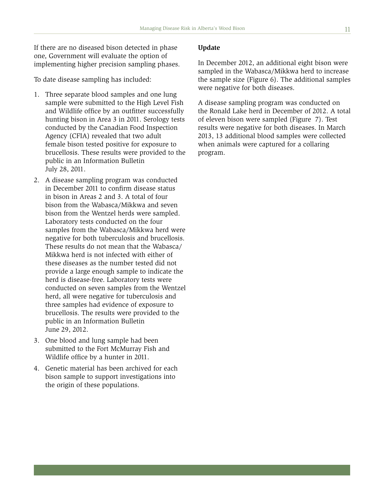If there are no diseased bison detected in phase one, Government will evaluate the option of implementing higher precision sampling phases.

To date disease sampling has included:

- 1. Three separate blood samples and one lung sample were submitted to the High Level Fish and Wildlife office by an outfitter successfully hunting bison in Area 3 in 2011. Serology tests conducted by the Canadian Food Inspection Agency (CFIA) revealed that two adult female bison tested positive for exposure to brucellosis. These results were provided to the public in an Information Bulletin July 28, 2011.
- 2. A disease sampling program was conducted in December 2011 to confirm disease status in bison in Areas 2 and 3. A total of four bison from the Wabasca/Mikkwa and seven bison from the Wentzel herds were sampled. Laboratory tests conducted on the four samples from the Wabasca/Mikkwa herd were negative for both tuberculosis and brucellosis. These results do not mean that the Wabasca/ Mikkwa herd is not infected with either of these diseases as the number tested did not provide a large enough sample to indicate the herd is disease-free. Laboratory tests were conducted on seven samples from the Wentzel herd, all were negative for tuberculosis and three samples had evidence of exposure to brucellosis. The results were provided to the public in an Information Bulletin June 29, 2012.
- 3. One blood and lung sample had been submitted to the Fort McMurray Fish and Wildlife office by a hunter in 2011.
- 4. Genetic material has been archived for each bison sample to support investigations into the origin of these populations.

#### **Update**

In December 2012, an additional eight bison were sampled in the Wabasca/Mikkwa herd to increase the sample size (Figure 6). The additional samples were negative for both diseases.

A disease sampling program was conducted on the Ronald Lake herd in December of 2012. A total of eleven bison were sampled (Figure 7). Test results were negative for both diseases. In March 2013, 13 additional blood samples were collected when animals were captured for a collaring program.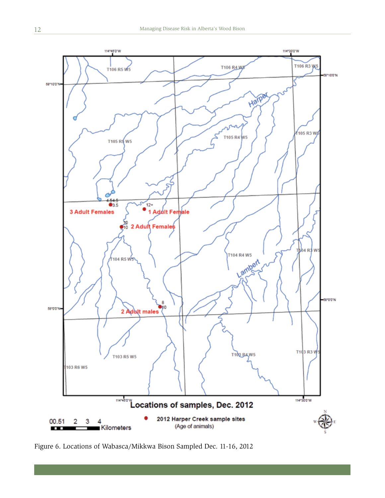

Figure 6. Locations of Wabasca/Mikkwa Bison Sampled Dec. 11-16, 2012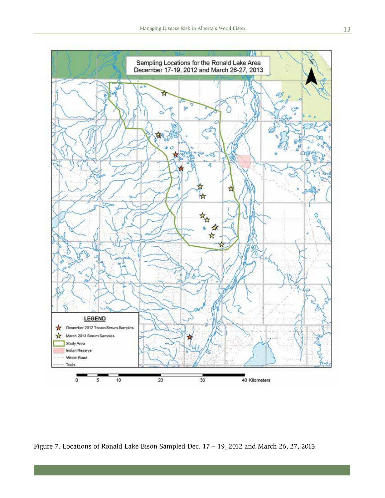

Figure 7. Locations of Ronald Lake Bison Sampled Dec. 17 – 19, 2012 and March 26, 27, 2013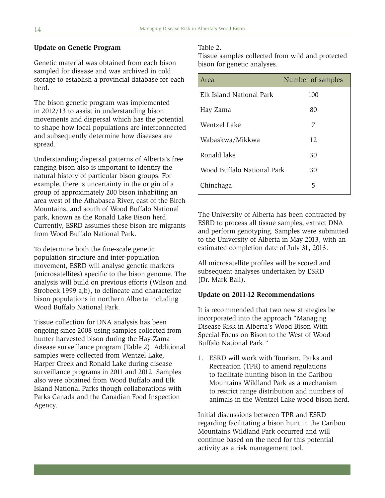#### **Update on Genetic Program**

Genetic material was obtained from each bison sampled for disease and was archived in cold storage to establish a provincial database for each herd.

The bison genetic program was implemented in 2012/13 to assist in understanding bison movements and dispersal which has the potential to shape how local populations are interconnected and subsequently determine how diseases are spread.

Understanding dispersal patterns of Alberta's free ranging bison also is important to identify the natural history of particular bison groups. For example, there is uncertainty in the origin of a group of approximately 200 bison inhabiting an area west of the Athabasca River, east of the Birch Mountains, and south of Wood Buffalo National park, known as the Ronald Lake Bison herd. Currently, ESRD assumes these bison are migrants from Wood Buffalo National Park.

To determine both the fine-scale genetic population structure and inter-population movement, ESRD will analyse genetic markers (microsatellites) specific to the bison genome. The analysis will build on previous efforts (Wilson and Strobeck 1999 a,b), to delineate and characterize bison populations in northern Alberta including Wood Buffalo National Park.

Tissue collection for DNA analysis has been ongoing since 2008 using samples collected from hunter harvested bison during the Hay-Zama disease surveillance program (Table 2). Additional samples were collected from Wentzel Lake, Harper Creek and Ronald Lake during disease surveillance programs in 2011 and 2012. Samples also were obtained from Wood Buffalo and Elk Island National Parks though collaborations with Parks Canada and the Canadian Food Inspection Agency.

#### Table 2.

Tissue samples collected from wild and protected bison for genetic analyses.

| Area                       | Number of samples |
|----------------------------|-------------------|
| Elk Island National Park   | 100               |
| Hay Zama                   | 80                |
| Wentzel Lake               | 7                 |
| Wabaskwa/Mikkwa            | 12                |
| Ronald lake                | 30                |
| Wood Buffalo National Park | 30                |
| Chinchaga                  | 5                 |

The University of Alberta has been contracted by ESRD to process all tissue samples, extract DNA and perform genotyping. Samples were submitted to the University of Alberta in May 2013, with an estimated completion date of July 31, 2013.

All microsatellite profiles will be scored and subsequent analyses undertaken by ESRD (Dr. Mark Ball).

#### **Update on 2011-12 Recommendations**

It is recommended that two new strategies be incorporated into the approach "Managing Disease Risk in Alberta's Wood Bison With Special Focus on Bison to the West of Wood Buffalo National Park."

1. ESRD will work with Tourism, Parks and Recreation (TPR) to amend regulations to facilitate hunting bison in the Caribou Mountains Wildland Park as a mechanism to restrict range distribution and numbers of animals in the Wentzel Lake wood bison herd.

Initial discussions between TPR and ESRD regarding facilitating a bison hunt in the Caribou Mountains Wildland Park occurred and will continue based on the need for this potential activity as a risk management tool.